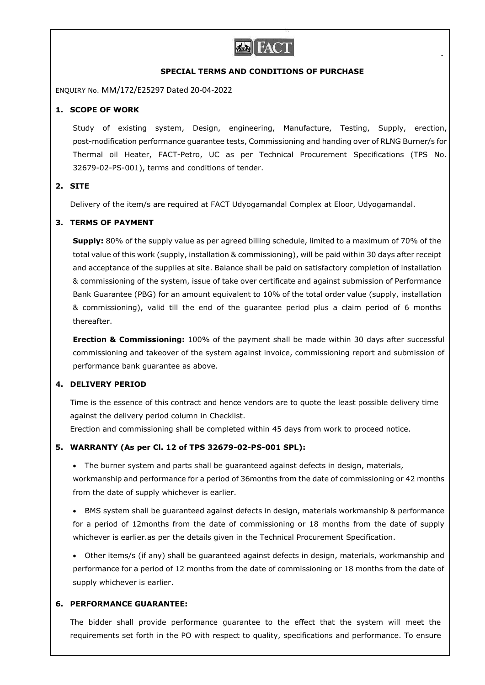

#### **SPECIAL TERMS AND CONDITIONS OF PURCHASE**

ENQUIRY No. MM/172/E25297 Dated 20-04-2022

#### **1. SCOPE OF WORK**

Study of existing system, Design, engineering, Manufacture, Testing, Supply, erection, post-modification performance guarantee tests, Commissioning and handing over of RLNG Burner/s for Thermal oil Heater, FACT-Petro, UC as per Technical Procurement Specifications (TPS No. 32679-02-PS-001), terms and conditions of tender.

#### **2. SITE**

Delivery of the item/s are required at FACT Udyogamandal Complex at Eloor, Udyogamandal.

### **3. TERMS OF PAYMENT**

**Supply:** 80% of the supply value as per agreed billing schedule, limited to a maximum of 70% of the total value of this work (supply, installation & commissioning), will be paid within 30 days after receipt and acceptance of the supplies at site. Balance shall be paid on satisfactory completion of installation & commissioning of the system, issue of take over certificate and against submission of Performance Bank Guarantee (PBG) for an amount equivalent to 10% of the total order value (supply, installation & commissioning), valid till the end of the guarantee period plus a claim period of 6 months thereafter.

**Erection & Commissioning:** 100% of the payment shall be made within 30 days after successful commissioning and takeover of the system against invoice, commissioning report and submission of performance bank guarantee as above.

### **4. DELIVERY PERIOD**

Time is the essence of this contract and hence vendors are to quote the least possible delivery time against the delivery period column in Checklist.

Erection and commissioning shall be completed within 45 days from work to proceed notice.

### **5. WARRANTY (As per Cl. 12 of TPS 32679-02-PS-001 SPL):**

 The burner system and parts shall be guaranteed against defects in design, materials, workmanship and performance for a period of 36months from the date of commissioning or 42 months from the date of supply whichever is earlier.

 BMS system shall be guaranteed against defects in design, materials workmanship & performance for a period of 12months from the date of commissioning or 18 months from the date of supply whichever is earlier.as per the details given in the Technical Procurement Specification.

 Other items/s (if any) shall be guaranteed against defects in design, materials, workmanship and performance for a period of 12 months from the date of commissioning or 18 months from the date of supply whichever is earlier.

### **6. PERFORMANCE GUARANTEE:**

The bidder shall provide performance guarantee to the effect that the system will meet the requirements set forth in the PO with respect to quality, specifications and performance. To ensure